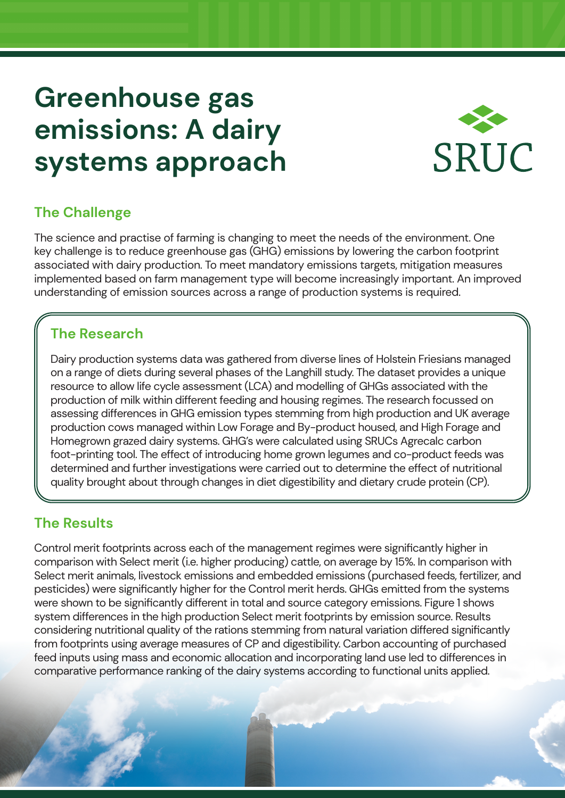# **Greenhouse gas emissions: A dairy systems approach**



## **The Challenge**

The science and practise of farming is changing to meet the needs of the environment. One key challenge is to reduce greenhouse gas (GHG) emissions by lowering the carbon footprint associated with dairy production. To meet mandatory emissions targets, mitigation measures implemented based on farm management type will become increasingly important. An improved understanding of emission sources across a range of production systems is required.

#### **The Research**

Dairy production systems data was gathered from diverse lines of Holstein Friesians managed on a range of diets during several phases of the Langhill study. The dataset provides a unique resource to allow life cycle assessment (LCA) and modelling of GHGs associated with the production of milk within different feeding and housing regimes. The research focussed on assessing differences in GHG emission types stemming from high production and UK average production cows managed within Low Forage and By-product housed, and High Forage and Homegrown grazed dairy systems. GHG's were calculated using SRUCs Agrecalc carbon foot-printing tool. The effect of introducing home grown legumes and co-product feeds was determined and further investigations were carried out to determine the effect of nutritional quality brought about through changes in diet digestibility and dietary crude protein (CP).

#### **The Results**

Control merit footprints across each of the management regimes were significantly higher in comparison with Select merit (i.e. higher producing) cattle, on average by 15%. In comparison with Select merit animals, livestock emissions and embedded emissions (purchased feeds, fertilizer, and pesticides) were significantly higher for the Control merit herds. GHGs emitted from the systems were shown to be significantly different in total and source category emissions. Figure 1 shows system differences in the high production Select merit footprints by emission source. Results considering nutritional quality of the rations stemming from natural variation differed significantly from footprints using average measures of CP and digestibility. Carbon accounting of purchased feed inputs using mass and economic allocation and incorporating land use led to differences in comparative performance ranking of the dairy systems according to functional units applied.